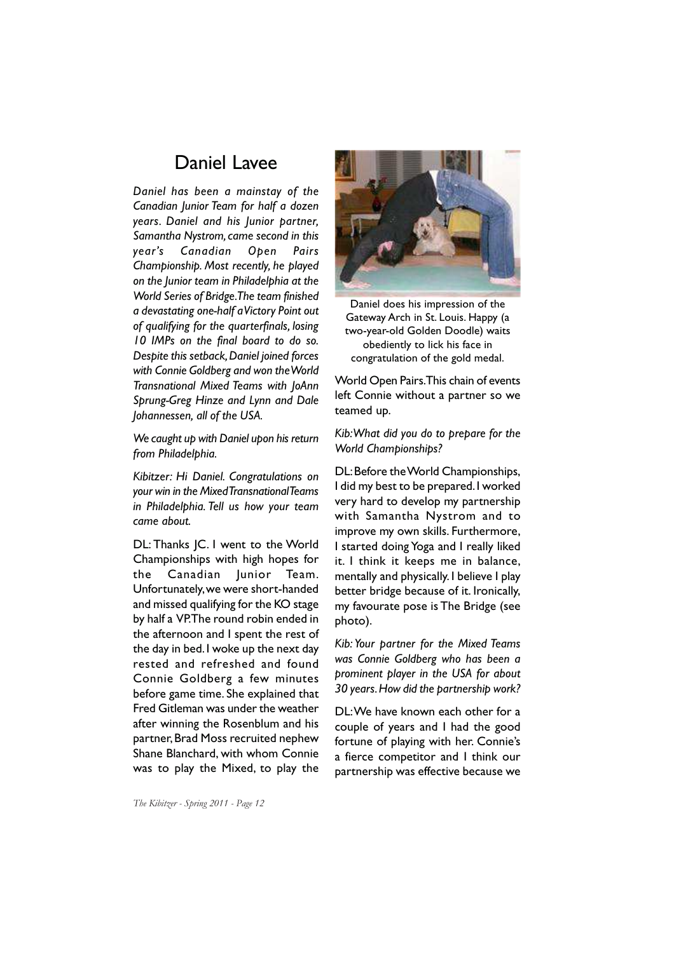## Daniel Lavee

*Daniel has been a mainstay of the Canadian Junior Team for half a dozen years. Daniel and his Junior partner, Samantha Nystrom, came second in this year's Canadian Open Pairs Championship. Most recently, he played on the Junior team in Philadelphia at the World Series of Bridge. The team finished a devastating one-half a Victory Point out of qualifying for the quarterfinals, losing 10 IMPs on the final board to do so. Despite this setback, Daniel joined forces with Connie Goldberg and won the World Transnational Mixed Teams with JoAnn Sprung-Greg Hinze and Lynn and Dale Johannessen, all of the USA.*

*We caught up with Daniel upon his return from Philadelphia.*

*Kibitzer: Hi Daniel. Congratulations on your win in the Mixed Transnational Teams in Philadelphia. Tell us how your team came about.*

DL: Thanks JC. I went to the World Championships with high hopes for the Canadian Junior Team. Unfortunately, we were short-handed and missed qualifying for the KO stage by half a VP. The round robin ended in the afternoon and I spent the rest of the day in bed. I woke up the next day rested and refreshed and found Connie Goldberg a few minutes before game time. She explained that Fred Gitleman was under the weather after winning the Rosenblum and his partner, Brad Moss recruited nephew Shane Blanchard, with whom Connie was to play the Mixed, to play the



Daniel does his impression of the Gateway Arch in St. Louis. Happy (a two-year-old Golden Doodle) waits obediently to lick his face in congratulation of the gold medal.

World Open Pairs. This chain of events left Connie without a partner so we teamed up.

## *Kib: What did you do to prepare for the World Championships?*

DL: Before the World Championships, I did my best to be prepared. I worked very hard to develop my partnership with Samantha Nystrom and to improve my own skills. Furthermore, I started doing Yoga and I really liked it. I think it keeps me in balance, mentally and physically. I believe I play better bridge because of it. Ironically, my favourate pose is The Bridge (see photo).

*Kib: Your partner for the Mixed Teams was Connie Goldberg who has been a prominent player in the USA for about 30 years. How did the partnership work?*

DL: We have known each other for a couple of years and I had the good fortune of playing with her. Connie's a fierce competitor and I think our partnership was effective because we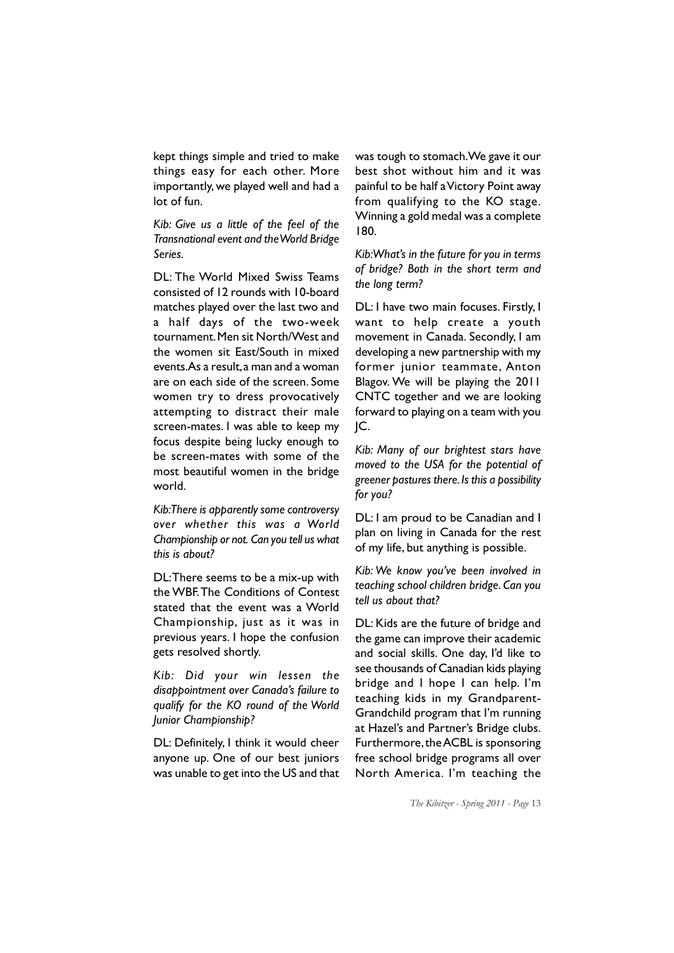kept things simple and tried to make things easy for each other. More importantly, we played well and had a lot of fun.

*Kib: Give us a little of the feel of the Transnational event and the World Bridge Series.*

DL: The World Mixed Swiss Teams consisted of 12 rounds with 10-board matches played over the last two and a half days of the two-week tournament. Men sit North/West and the women sit East/South in mixed events. As a result, a man and a woman are on each side of the screen. Some women try to dress provocatively attempting to distract their male screen-mates. I was able to keep my focus despite being lucky enough to be screen-mates with some of the most beautiful women in the bridge world.

*Kib: There is apparently some controversy over whether this was a World Championship or not. Can you tell us what this is about?*

DL: There seems to be a mix-up with the WBF. The Conditions of Contest stated that the event was a World Championship, just as it was in previous years. I hope the confusion gets resolved shortly.

*Kib: Did your win lessen the disappointment over Canada's failure to qualify for the KO round of the World Junior Championship?*

DL: Definitely, I think it would cheer anyone up. One of our best juniors was unable to get into the US and that was tough to stomach. We gave it our best shot without him and it was painful to be half a Victory Point away from qualifying to the KO stage. Winning a gold medal was a complete 180.

*Kib: What's in the future for you in terms of bridge? Both in the short term and the long term?*

DL: I have two main focuses. Firstly, I want to help create a youth movement in Canada. Secondly, I am developing a new partnership with my former junior teammate, Anton Blagov. We will be playing the 2011 CNTC together and we are looking forward to playing on a team with you JC.

*Kib: Many of our brightest stars have moved to the USA for the potential of greener pastures there. Is this a possibility for you?*

DL: I am proud to be Canadian and I plan on living in Canada for the rest of my life, but anything is possible.

*Kib: We know you've been involved in teaching school children bridge. Can you tell us about that?*

DL: Kids are the future of bridge and the game can improve their academic and social skills. One day, I'd like to see thousands of Canadian kids playing bridge and I hope I can help. I'm teaching kids in my Grandparent-Grandchild program that I'm running at Hazel's and Partner's Bridge clubs. Furthermore, the ACBL is sponsoring free school bridge programs all over North America. I'm teaching the